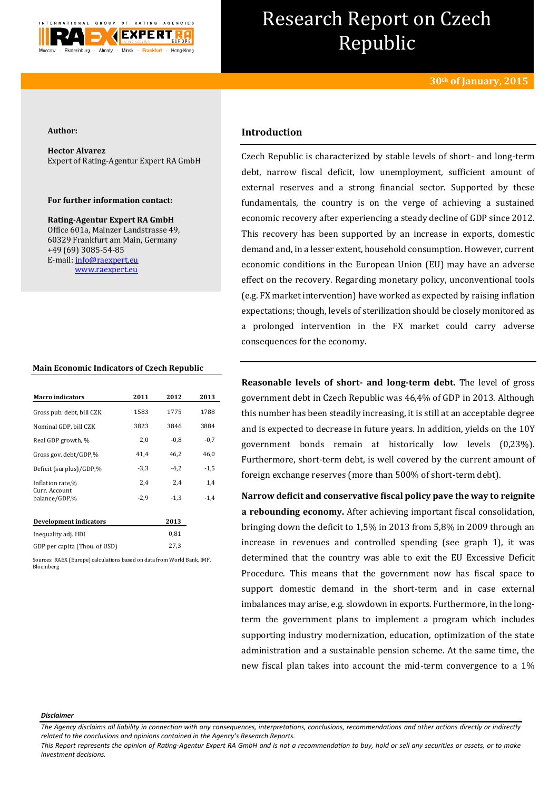

# Research Report on Czech Republic

#### **Author:**

**Hector Alvarez** Expert of Rating-Agentur Expert RA GmbH

#### **For further information contact:**

**Rating-Agentur Expert RA GmbH** Office 601a, Mainzer Landstrasse 49, 60329 Frankfurt am Main, Germany +49 (69) 3085-54-85 E-mail[: info@raexpert.eu](mailto:info@raexpert.eu) [www.raexpert.eu](http://raexpert.eu/)

## **Main Economic Indicators of Czech Republic**

| <b>Macro indicators</b>         | 2011   | 2012   | 2013   |
|---------------------------------|--------|--------|--------|
| Gross pub. debt, bill CZK       | 1583   | 1775   | 1788   |
| Nominal GDP, bill CZK           | 3823   | 3846   | 3884   |
| Real GDP growth, %              | 2,0    | $-0.8$ | $-0.7$ |
| Gross gov. debt/GDP,%           | 41,4   | 46.2   | 46,0   |
| Deficit (surplus)/GDP.%         | $-3,3$ | $-4.2$ | $-1,5$ |
| Inflation rate,%                | 2,4    | 2,4    | 1,4    |
| Curr. Account.<br>balance/GDP,% | $-2,9$ | $-1.3$ | $-1.4$ |
| <b>Development indicators</b>   |        | 2013   |        |
| Inequality adj. HDI             |        | 0.81   |        |

Sources: RAEX (Europe) calculations based on data from World Bank, IMF, Bloomberg

## **Introduction**

Czech Republic is characterized by stable levels of short- and long-term debt, narrow fiscal deficit, low unemployment, sufficient amount of external reserves and a strong financial sector. Supported by these fundamentals, the country is on the verge of achieving a sustained economic recovery after experiencing a steady decline of GDP since 2012. This recovery has been supported by an increase in exports, domestic demand and, in a lesser extent, household consumption. However, current economic conditions in the European Union (EU) may have an adverse effect on the recovery. Regarding monetary policy, unconventional tools (e.g. FX market intervention) have worked as expected by raising inflation expectations; though, levels of sterilization should be closely monitored as a prolonged intervention in the FX market could carry adverse consequences for the economy.

**Reasonable levels of short- and long-term debt.** The level of gross government debt in Czech Republic was 46,4% of GDP in 2013. Although this number has been steadily increasing, it is still at an acceptable degree and is expected to decrease in future years. In addition, yields on the 10Y government bonds remain at historically low levels (0,23%). Furthermore, short-term debt, is well covered by the current amount of foreign exchange reserves (more than 500% of short-term debt).

**Narrow deficit and conservative fiscal policy pave the way to reignite a rebounding economy.** After achieving important fiscal consolidation, bringing down the deficit to 1,5% in 2013 from 5,8% in 2009 through an increase in revenues and controlled spending (see graph 1), it was determined that the country was able to exit the EU Excessive Deficit Procedure. This means that the government now has fiscal space to support domestic demand in the short-term and in case external imbalances may arise, e.g. slowdown in exports. Furthermore, in the longterm the government plans to implement a program which includes supporting industry modernization, education, optimization of the state administration and a sustainable pension scheme. At the same time, the new fiscal plan takes into account the mid-term convergence to a 1%

#### *Disclaimer*

*The Agency disclaims all liability in connection with any consequences, interpretations, conclusions, recommendations and other actions directly or indirectly related to the conclusions and opinions contained in the Agency's Research Reports.*

*This Report represents the opinion of Rating-Agentur Expert RA GmbH and is not a recommendation to buy, hold or sell any securities or assets, or to make investment decisions.*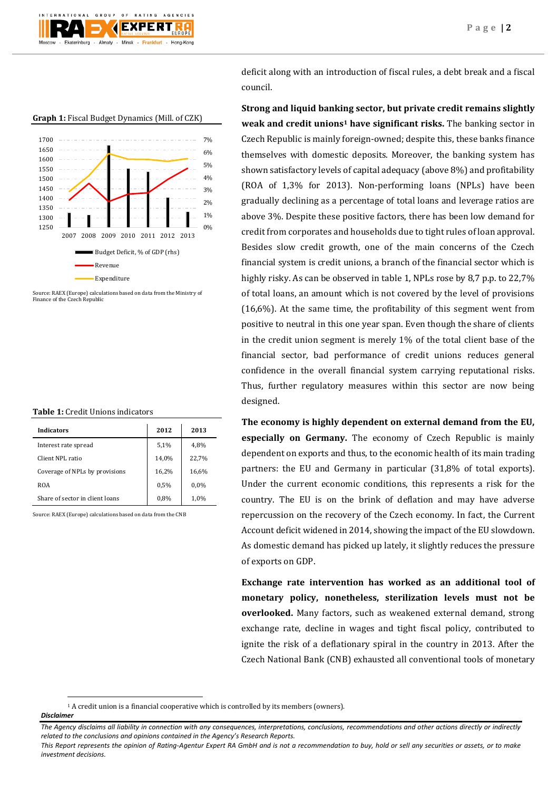

**Graph 1:** Fiscal Budget Dynamics (Mill. of CZK)



Source: RAEX (Europe) calculations based on data from the Ministry of Finance of the Czech Republic

| <b>Table 1:</b> Credit Unions indicators |
|------------------------------------------|
|                                          |

| <b>Indicators</b>               | 2012  | 2013    |
|---------------------------------|-------|---------|
| Interest rate spread            | 5,1%  | 4,8%    |
| Client NPL ratio                | 14,0% | 22.7%   |
| Coverage of NPLs by provisions  | 16,2% | 16,6%   |
| <b>ROA</b>                      | 0.5%  | $0.0\%$ |
| Share of sector in client loans | 0,8%  | 1,0%    |

Source: RAEX (Europe) calculations based on data from the CNB

deficit along with an introduction of fiscal rules, a debt break and a fiscal council.

**Strong and liquid banking sector, but private credit remains slightly weak and credit unions<sup>1</sup> have significant risks.** The banking sector in Czech Republic is mainly foreign-owned; despite this, these banks finance themselves with domestic deposits. Moreover, the banking system has shown satisfactory levels of capital adequacy (above 8%) and profitability (ROA of 1,3% for 2013). Non-performing loans (NPLs) have been gradually declining as a percentage of total loans and leverage ratios are above 3%. Despite these positive factors, there has been low demand for credit from corporates and households due to tight rules of loan approval. Besides slow credit growth, one of the main concerns of the Czech financial system is credit unions, a branch of the financial sector which is highly risky. As can be observed in table 1, NPLs rose by 8,7 p.p. to 22,7% of total loans, an amount which is not covered by the level of provisions (16,6%). At the same time, the profitability of this segment went from positive to neutral in this one year span. Even though the share of clients in the credit union segment is merely 1% of the total client base of the financial sector, bad performance of credit unions reduces general confidence in the overall financial system carrying reputational risks. Thus, further regulatory measures within this sector are now being designed.

**The economy is highly dependent on external demand from the EU, especially on Germany.** The economy of Czech Republic is mainly dependent on exports and thus, to the economic health of its main trading partners: the EU and Germany in particular (31,8% of total exports). Under the current economic conditions, this represents a risk for the country. The EU is on the brink of deflation and may have adverse repercussion on the recovery of the Czech economy. In fact, the Current Account deficit widened in 2014, showing the impact of the EU slowdown. As domestic demand has picked up lately, it slightly reduces the pressure of exports on GDP.

**Exchange rate intervention has worked as an additional tool of monetary policy, nonetheless, sterilization levels must not be overlooked.** Many factors, such as weakened external demand, strong exchange rate, decline in wages and tight fiscal policy, contributed to ignite the risk of a deflationary spiral in the country in 2013. After the Czech National Bank (CNB) exhausted all conventional tools of monetary

**.** 

 $<sup>1</sup>$  A credit union is a financial cooperative which is controlled by its members (owners).</sup>

*Disclaimer* 

*The Agency disclaims all liability in connection with any consequences, interpretations, conclusions, recommendations and other actions directly or indirectly related to the conclusions and opinions contained in the Agency's Research Reports.*

*This Report represents the opinion of Rating-Agentur Expert RA GmbH and is not a recommendation to buy, hold or sell any securities or assets, or to make investment decisions.*